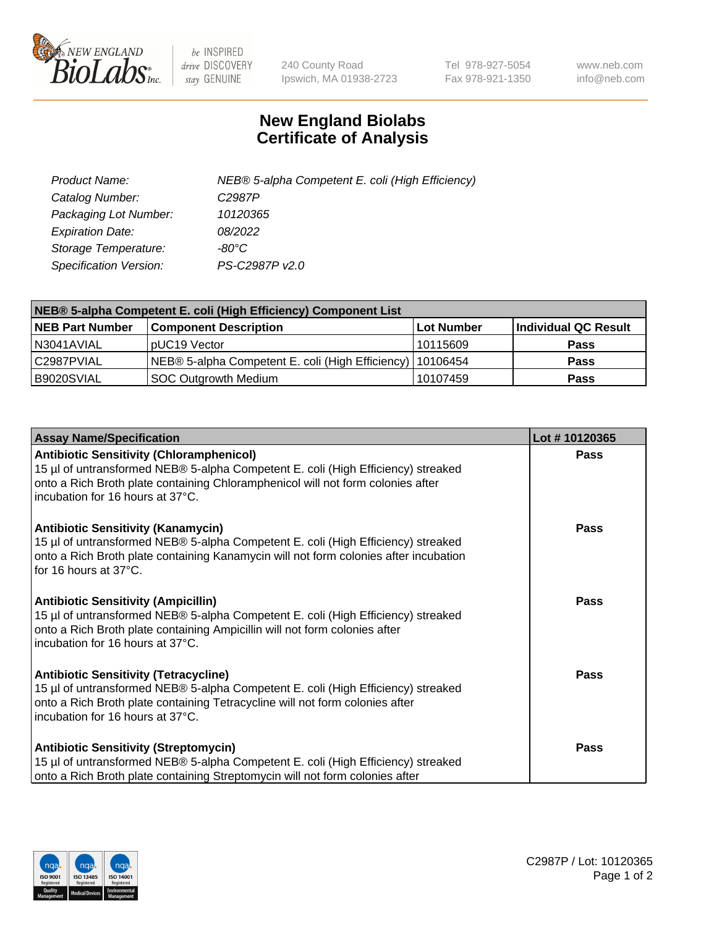

 $be$  INSPIRED drive DISCOVERY stay GENUINE

240 County Road Ipswich, MA 01938-2723 Tel 978-927-5054 Fax 978-921-1350 www.neb.com info@neb.com

## **New England Biolabs Certificate of Analysis**

| Product Name:                 | NEB® 5-alpha Competent E. coli (High Efficiency) |
|-------------------------------|--------------------------------------------------|
| Catalog Number:               | C <sub>2987</sub> P                              |
| Packaging Lot Number:         | 10120365                                         |
| <b>Expiration Date:</b>       | 08/2022                                          |
| Storage Temperature:          | -80°C                                            |
| <b>Specification Version:</b> | PS-C2987P v2.0                                   |

| NEB® 5-alpha Competent E. coli (High Efficiency) Component List |                                                             |            |                      |  |
|-----------------------------------------------------------------|-------------------------------------------------------------|------------|----------------------|--|
| <b>NEB Part Number</b>                                          | <b>Component Description</b>                                | Lot Number | Individual QC Result |  |
| N3041AVIAL                                                      | pUC19 Vector                                                | 10115609   | <b>Pass</b>          |  |
| C2987PVIAL                                                      | NEB® 5-alpha Competent E. coli (High Efficiency)   10106454 |            | <b>Pass</b>          |  |
| B9020SVIAL                                                      | <b>SOC Outgrowth Medium</b>                                 | 10107459   | <b>Pass</b>          |  |

| <b>Assay Name/Specification</b>                                                                                                                                                                                                                            | Lot #10120365 |
|------------------------------------------------------------------------------------------------------------------------------------------------------------------------------------------------------------------------------------------------------------|---------------|
| <b>Antibiotic Sensitivity (Chloramphenicol)</b><br>15 µl of untransformed NEB® 5-alpha Competent E. coli (High Efficiency) streaked<br>onto a Rich Broth plate containing Chloramphenicol will not form colonies after<br>incubation for 16 hours at 37°C. | Pass          |
| <b>Antibiotic Sensitivity (Kanamycin)</b><br>15 µl of untransformed NEB® 5-alpha Competent E. coli (High Efficiency) streaked<br>onto a Rich Broth plate containing Kanamycin will not form colonies after incubation<br>for 16 hours at 37°C.             | Pass          |
| <b>Antibiotic Sensitivity (Ampicillin)</b><br>15 µl of untransformed NEB® 5-alpha Competent E. coli (High Efficiency) streaked<br>onto a Rich Broth plate containing Ampicillin will not form colonies after<br>incubation for 16 hours at 37°C.           | Pass          |
| <b>Antibiotic Sensitivity (Tetracycline)</b><br>15 µl of untransformed NEB® 5-alpha Competent E. coli (High Efficiency) streaked<br>onto a Rich Broth plate containing Tetracycline will not form colonies after<br>incubation for 16 hours at 37°C.       | <b>Pass</b>   |
| <b>Antibiotic Sensitivity (Streptomycin)</b><br>15 µl of untransformed NEB® 5-alpha Competent E. coli (High Efficiency) streaked<br>onto a Rich Broth plate containing Streptomycin will not form colonies after                                           | Pass          |